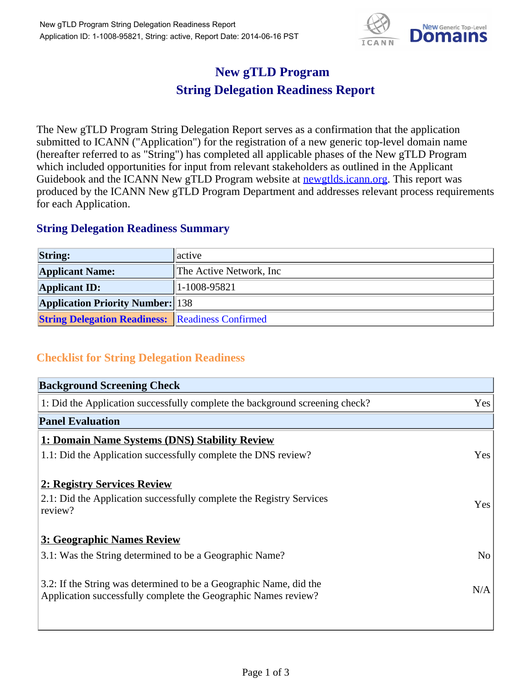

## **New gTLD Program String Delegation Readiness Report**

The New gTLD Program String Delegation Report serves as a confirmation that the application submitted to ICANN ("Application") for the registration of a new generic top-level domain name (hereafter referred to as "String") has completed all applicable phases of the New gTLD Program which included opportunities for input from relevant stakeholders as outlined in the Applicant Guidebook and the ICANN New gTLD Program website at newgtlds.icann.org. This report was produced by the ICANN New gTLD Program Department and addresses relevant process requirements for each Application.

## **String Delegation Readiness Summary**

| <b>String:</b>                                          | active                   |
|---------------------------------------------------------|--------------------------|
| <b>Applicant Name:</b>                                  | The Active Network, Inc. |
| <b>Applicant ID:</b>                                    | 1-1008-95821             |
| <b>Application Priority Number: 138</b>                 |                          |
| <b>String Delegation Readiness: Readiness Confirmed</b> |                          |

## **Checklist for String Delegation Readiness**

| <b>Background Screening Check</b>                                                                                                    |                |
|--------------------------------------------------------------------------------------------------------------------------------------|----------------|
| 1: Did the Application successfully complete the background screening check?                                                         | Yes            |
| <b>Panel Evaluation</b>                                                                                                              |                |
| 1: Domain Name Systems (DNS) Stability Review                                                                                        |                |
| 1.1: Did the Application successfully complete the DNS review?                                                                       | Yes            |
| 2: Registry Services Review                                                                                                          |                |
| 2.1: Did the Application successfully complete the Registry Services<br>review?                                                      | Yes            |
| 3: Geographic Names Review                                                                                                           |                |
| 3.1: Was the String determined to be a Geographic Name?                                                                              | N <sub>o</sub> |
| 3.2: If the String was determined to be a Geographic Name, did the<br>Application successfully complete the Geographic Names review? | N/A            |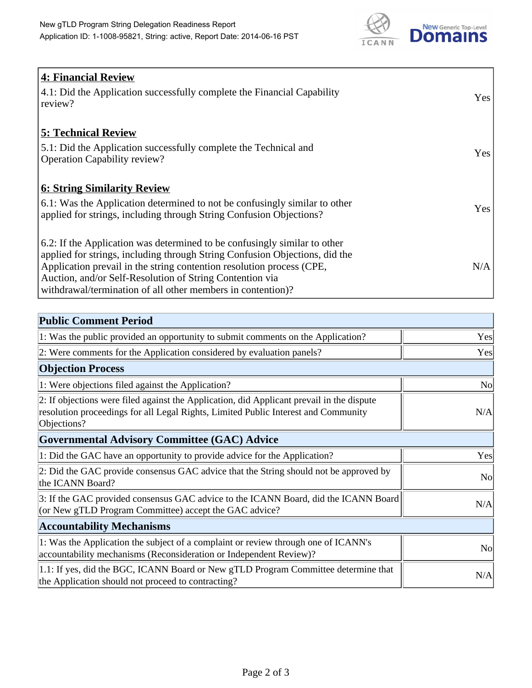

| <b>4: Financial Review</b><br>4.1: Did the Application successfully complete the Financial Capability<br>review?                                                                                                                                                                                                                                             | <b>Yes</b> |
|--------------------------------------------------------------------------------------------------------------------------------------------------------------------------------------------------------------------------------------------------------------------------------------------------------------------------------------------------------------|------------|
| <b>5: Technical Review</b><br>5.1: Did the Application successfully complete the Technical and<br><b>Operation Capability review?</b>                                                                                                                                                                                                                        | <b>Yes</b> |
| <b>6: String Similarity Review</b><br>$\vert$ 6.1: Was the Application determined to not be confusingly similar to other<br>applied for strings, including through String Confusion Objections?                                                                                                                                                              | Yes        |
| 6.2: If the Application was determined to be confusingly similar to other<br>applied for strings, including through String Confusion Objections, did the<br>Application prevail in the string contention resolution process (CPE,<br>Auction, and/or Self-Resolution of String Contention via<br>withdrawal/termination of all other members in contention)? | N/A        |

| <b>Public Comment Period</b>                                                                                                                                                                   |                |
|------------------------------------------------------------------------------------------------------------------------------------------------------------------------------------------------|----------------|
| 1: Was the public provided an opportunity to submit comments on the Application?                                                                                                               | Yes            |
| 2: Were comments for the Application considered by evaluation panels?                                                                                                                          | Yes            |
| <b>Objection Process</b>                                                                                                                                                                       |                |
| 1: Were objections filed against the Application?                                                                                                                                              | N <sub>0</sub> |
| 2: If objections were filed against the Application, did Applicant prevail in the dispute<br>resolution proceedings for all Legal Rights, Limited Public Interest and Community<br>Objections? | N/A            |
| Governmental Advisory Committee (GAC) Advice                                                                                                                                                   |                |
| 1: Did the GAC have an opportunity to provide advice for the Application?                                                                                                                      | Yes            |
| 2: Did the GAC provide consensus GAC advice that the String should not be approved by<br>the ICANN Board?                                                                                      | N <sub>o</sub> |
| 3: If the GAC provided consensus GAC advice to the ICANN Board, did the ICANN Board<br>(or New gTLD Program Committee) accept the GAC advice?                                                  | N/A            |
| <b>Accountability Mechanisms</b>                                                                                                                                                               |                |
| 1: Was the Application the subject of a complaint or review through one of ICANN's<br>accountability mechanisms (Reconsideration or Independent Review)?                                       | N <sub>0</sub> |
| 1.1: If yes, did the BGC, ICANN Board or New gTLD Program Committee determine that<br>the Application should not proceed to contracting?                                                       | N/A            |